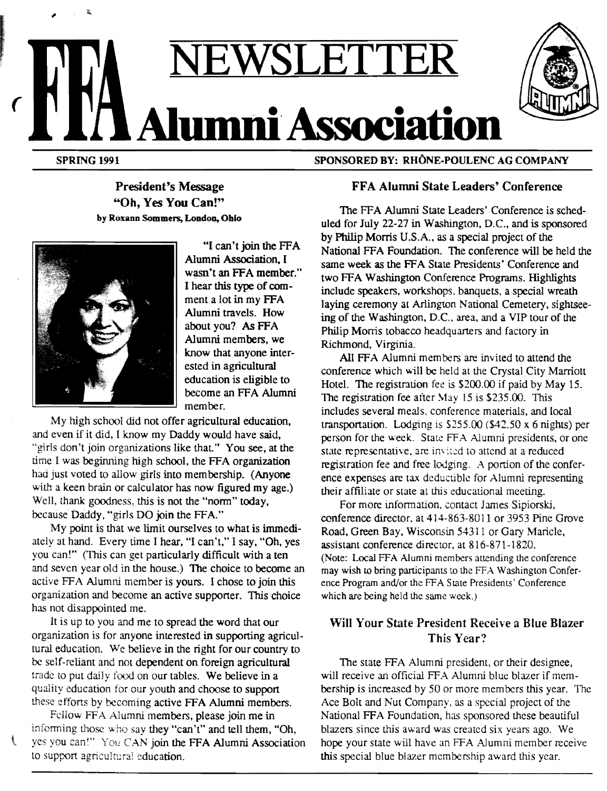# ( **NEWSLETTE Alumni Association**

SPRING 1991

,

SPONSORED BY: RHÔNE-POULENC AG COMPANY

# President's Message "Oh, Yes You Can!" by Roxann Sommers, London. Ohio



"I can't join the FFA Alumni Association. I wasn't an FFA member." I hear this type of comment a lot in my FFA Alumni travels. How about you? As FFA Alumni members, we know that anyone interested in agricultural education is eligible to become an FFA Alumni member.

My high school did not offer agricultural education, and even if it did, I know my Daddy would have said, "girls don't join organizations like that." You see, at the time I was beginning high school, the FFA organization had just voted to allow girls into membership. (Anyone with a keen brain or calculator has now figured my age.) Well, thank goodness, this is not the "norm" today, because Daddy, "girls DO join the FFA."

My point is that we limit ourselves to what is immediateiy at hand. Every time I hear, "I can't," I say. "Oh, yes you can!" (This can get particularly difficult with a ten and seven year old in the house.) The choice to become an active FFA Alumni member is yours. I chose to join this organization and become an active supporter. This choice has not disappointed me.

It is up to you and me to spread the word that our organization is for anyone interested in supporting agricultural education. We believe in the right for our country to be self-reliant and not dependent on foreign agricultural trade to put daily food on our tables. We believe in a quality education for our youth and choose to support these efforts by becoming active FFA Alumni members.

Fellow FFA Alumni members, please join me in infonning those who say they "can't" and tell them, "Oh, yes you can!" You CAN join the FFA Alumni Association to support agricultural education.

ŧ

# FFA Alumni State Leaders' Conference

The FFA Alumni State Leaders' Conference is scheduled for July 22-27 in Washington, D.C., and is sponsored by Philip Morris U.S.A., as a special project of the National FFA Foundation. The conference will be held the same week as the FFA State Presidents' Conference and two FFA Washington Conference Programs. Highlights include speakers. workshops. banquets, a special wreath laying ceremony at Arlingron National Cemetery, sightseeing of the Washington, D.C., area, and a VIP tour of the Philip Morris tobacco headquarters and factory in Richmond, Virginia.

All FFA Alumni members are invited to attend the conference which will be held at the Crystal City Marriott Hotel. The registration fee is \$200.00 if paid by May 15. The registration fee after May  $15$  is \$235.00. This includes several meals. conference materials, and local transportation. Lodging is \$255.00 (\$42.50 x 6 nights) per person for the week. State FFA Alumni presidents, or one state representative, are invited to attend at a reduced registration fee and free lodging. A portion of the conference expenses are tax deductible for Alumni representing their affiliate or state at this educational meeting.

For more information, contact James Sipiorski, conference director, at 414-863-8011 or 3953 Pine Grove Road, Green Bay, Wisconsin 54311 or Gary Maricle, assistant conference director, at 816-871-1820. (Note: Local FFA Alumni members attending the conference) may wish to bring participants to the FFA Washington Conference Program and/or the FFA State Presidents' Conference which are being held the same week.)

# Will Your State President Receive a Blue Blazer This Year?

The state FFA Alumni president, or their designee, will receive an official FFA Alumni blue blazer if membership is increased by 50 or more members this year. The Ace Bolt and Nut Company, as a special project of the National FFA Foundation, has sponsored these beautiful blazers since this award was created six years ago. We hope your state will have an FFA Alumni member receive this special blue blazer membership award this year.

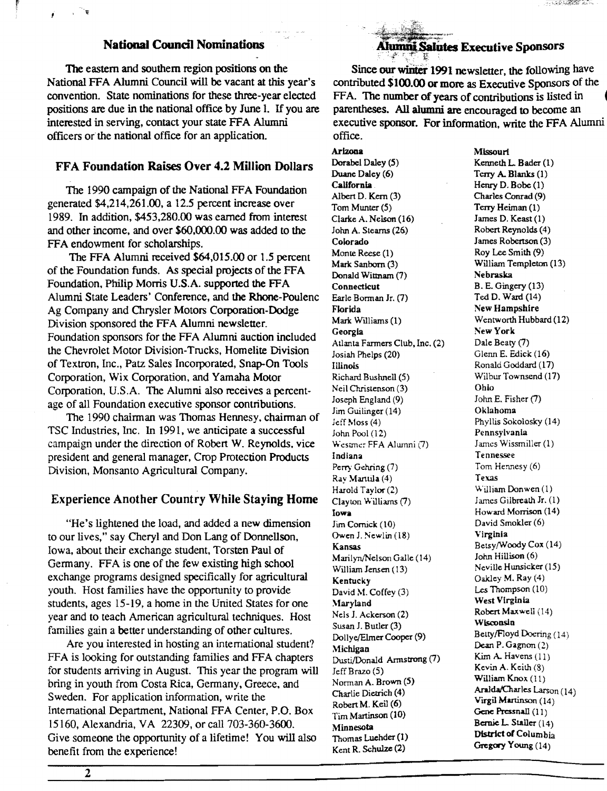## **National Council Nominations**

The eastern and southern region positions on the National FFA Alumni Council will be vacant at this year's convention. State nominations for these three-year elected positions are due in the national office by June 1. If you are interested in serving, contact your state FFA Alumni officers or the national office for an application.

#### FFA Foundation Raises Over 4.2 Million Dollars

The 1990 campaign of the National FFA Foundation generated \$4,214,261.00, a 12.5 percent increase over 1989. In addition, \$453,280.00 was earned from interest and other income, and over \$60,000.00 was added to the FFA endowment for scholarships.

The FFA Alumni received \$64,015.00 or 1.5 percent of the Foundation funds. As special projects of the FFA Foundation, Philip Morris U.S.A. supported the FFA Alumni State Leaders' Conference, and the Rhone-Poulenc Ag Company and Chrysler Motors Corporation-Dodge Division sponsored the FFA Alumni newsletter. Foundation sponsors for the FFA Alumni auction included the Chevrolet Motor Division-Trucks, Homelite Division of Textron, Inc., Patz Sales Incorporated, Snap-On Tools Corporation, Wix Corporation, and Yamaha Motor Corporation, U.S.A. The Alumni also receives a percentage of all Foundation executive sponsor contributions.

The 1990 chairman was Thomas Hennesy. chairman of TSC Industries, Inc. In 1991, we anticipate a successful campaign under the direction of Robert W. Reynolds, vice president and general manager, Crop Protection Products Division, Monsanto Agricultural Company.

#### Experience Another Country While Staying Home

"He's lightened the load, and added a new dimension to our lives," say Cheryl and Don Lang of Donnellson, Iowa, about their exchange student, Torsten Paul of Germany. FFA is one of the few existing high school exchange programs designed specifically for agricultural youth. Host families have the opportunity to provide students, ages 15-19, a home in the United States for one year and to teach American agricultural techniques. Host families gain a better understanding of other cultures.

Are you interested in hosting an international student? FFA is looking for outstanding families and FFA chapters for students arriving in August. This year the program will bring in youth from Costa Rica, Germany. Greece, and Sweden. For application information, write the International Department, National FFA Center, P.O. Box 15160, Alexandria, VA 22309, or call 703-360-3600. Give someone the opportunity of a lifetime! You will also benefit from the experience!

**Alumni Salutes Executive Sponsors** 

HAND A CHANGE SAIN

Since our winter 1991 newsletter, the following have contributed \$100.00 or more as Executive Sponsors of the FFA. The number of years of contributions is listed in parentheses. All alumni are encouraged to become an executive sponsor. For information, write the FFA Alumni office.

Arizona

Dorabel Daley (5) Duane Daley (6) California Albert D. Kem (3) Tom Munter (5) Clarice A. Nelson (16) John A. Stearns (26) Colorado Monte Reese (1) Mark Sanborn (3) Donald Wittnam (7) **Connecticut** Earle Borman Jr. (7) Florida Mark Williams (1) Georgia Atlanta Farmers Club, Inc. (2) Josiah Phelps (20) Illinois Richard Bushnell (S) Neil Christenson (3) Joseph England (9) Jim Guilinger (14) Jeff Moss (4) John Pool (12) Westmer FFA Alumni (7) Indiana Perry Gehring (7) Ray Manlila (4) Harold Taylor (2) Clayton Williams (7) Iowa Jim Cornick (10) Owen J. Newlin (18) Kansas Marilyn/Nelson Galle (14) William Jensen (13) Kentucky David M. Coffey (3) '.\.laryland Nels J. Ackerson (2) Susan J. Butler (3) Doll ye/Elmer Cooper (9) Michigan Dusti/Donald Annstrong (7) Jeff Brazo (5) Norman A. Brown (5) Charlie Dietrich (4) RobertM. Keil (6) Tim Martinson (10) Minnesota Thomas Luehder (1) Kent R. Schulze (2)

**Missouri** Kenneth L. Bader (1) Terry A. Blanks (1) Henry D. Bobe (1) Charles Conrad (9) Terry Heiman (1) James D. Keast (1) Robert Reynolds (4) James Robertson (3) Roy Lee Smith (9) William Templeton (13) Nebraska B. E. Gingery (13) Ted D. Ward (14) New Hampshire Wentworth Hubbard (12) New York Dale Beaty (7) Glenn E. Edick (16) Ronald Goddard (17) Wilbur Townsend (17) Ohio John E. Fisher (7) Oklahoma Phyllis Sokolosky (14) Pennsylvania James Wissmiller (1) Tennessee Tom Hennesy (6) Texas William Don wen (1) James Gilbreath Jr. (1) Howard Morrison (14) David Smokler (6) Virginia Betsy/Woody Cox (14) John Hillison (6) Neville Hunsicker (15) Oakley M. Ray (4) Les Thompson (10) West Virginia Robert Maxwell (14) Wisconsin Betty/Floyd Doering (14) Dean P. Gagnon (2) Kim A. Havens  $(11)$ Kevin A. Keith  $(8)$ William Knox (11) Aralda/Charles Larson (14) *V* irgi1 Martinson (14) Gene Pressnall (11) Bernie L. Staller  $(14)$ District of Columbia Gregory Young (14)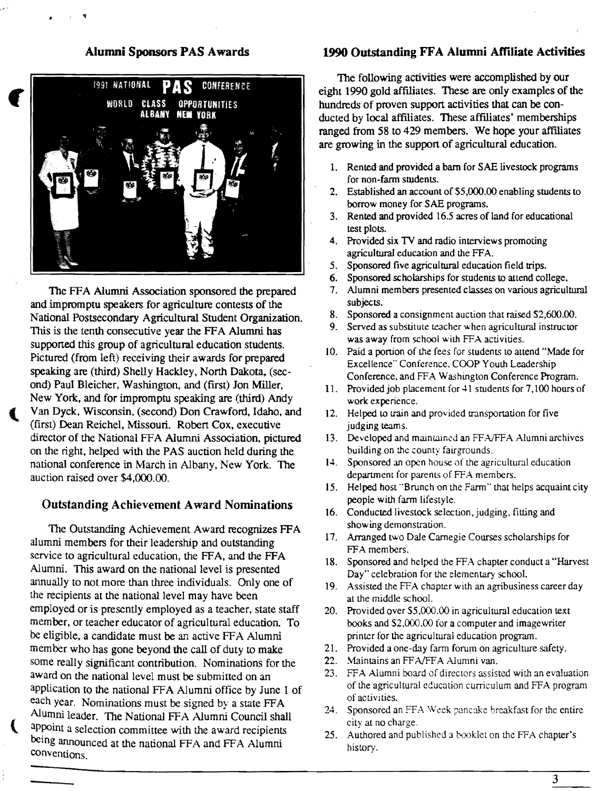#### Alumni Sponsors PAS Awards



The FFA Alumni Association sponsored the prepared and impromptu speakers for agriculture contests of the National Postsecondary Agricultural Student Organization. This is the tenth consecutive year the FFA Alumni has supported this group of agricultural education students. Pictured (from left) receiving their awards for prepared speaking are (third) Shelly Hackley, North Dakota, (second) Paul Bleicher, Washington, and (first) Jon Miller, New York, and for impromptu speaking are (third) Andy Van Dyck, Wisconsin, (second) Don Crawford, Idaho, and (first) Dean Reichel, Missouri. Robert Cox, executive director of the National FFA Alumni Association, pictured on the right, helped with the PAS auction held during the national conference in March in Albany, New York. The auction raised over \$4,000.00.

#### Outstanding Achievement A ward Nominations

The Outstanding Achievement Award recognizes FFA alumni members for their leadership and outstanding service to agricultural education, the FFA, and the FFA Alumni. This award on the national level is presented annually to not more than three individuals. Only one of the recipients at the national level may have been employed or is presently employed as a teacher, state staff member, or teacher educator of agricultural education. To be eligible, a candidate must be an active FFA Alumni member who has gone beyond the call of duty to make some really significant contribution. Nominations for the award on the national level must be submitted on an application to the national FFA Alumni office by June 1 of each year. Nominations must be signed by a state FFA Alumni leader. The National FFA Alumni Council shall appoint a selection committee with the award recipients being announced at the national FFA and FFA Alumni conventions.

{

#### 1990 Outstanding FFA Alumni Affiliate Activities

The following activities were accomplished by our eight 1990 gold affiliates. These are only examples of the hundreds of proven support activities that can be conducted by local affiliates. These affiliates' memberships ranged from 58 to 429 members. We hope your affiliates are growing in the support of agricultural education.

- 1. Rented and provided a barn for SAE livestock programs for non-farm students.
- 2. Established an account of \$5,000,00 enabling students to borrow money for SAE programs.
- 3. Rented and provided 16.5 acres of land for educational test plots.
- 4. Provided six TV and radio interviews promoting agricultural education and the FFA.
- *5.* Sponsored five agricultural education field trips.
- 6. Sponsored scholarships for students to attend college.
- 7. Alumni members presented classes on various agricultural subjects.
- 8. Sponsored a consignment auction that raised \$2,600.00.
- 9. Served as substitute teacher when agricultural instructor was away from school with FFA activities.
- 10. Paid a portion of the fees for students to attend "Made for Excellence" Conference. COOP Youth Leadership Conference. and FFA Washington Conference Program.
- 11. Provided job placement for 41 students for 7,100 hours of work experience.
- 12. Helped to train and provided transportation for five judging teams.
- 13. Developed and maintained an FFA/FFA Alumni archives building on the county fairgrounds.
- 14. Sponsored an open house of the agricultural education department for parents of FFA members.
- 15. Helped host "Brunch on the Farm" that helps acquaint city people with farm lifestyle.
- 16. Conducted livestock selection, judging, fitting and showing demonstration.
- 17. Arranged two Dale Carnegie Courses scholarships for FFA members.
- 18. Sponsored and helped the FFA chapter conduct a "Harvest Day" celebration for the elementary school.
- 19. Assisted the FFA chapter with an agribusiness career day at the middle school.
- 20. Provided over \$5,000.00 in agricultural education text books and \$2,000.00 for a computer and imagewriter printer for the agricultural education program.
- 21. Provided a one-day farm forum on agriculture safety.
- 22. Maintains an FF *NFF* A Alumni van.
- 23. FFA Alumni board of directors assisted with an evaluation of the agricultural education cuniculum and FFA program of activities.
- 24. Sponsored an FFA Week pancake breakfast for the entire city at no charge.
- 25. Authored and published a booklet on the FFA chapter's history.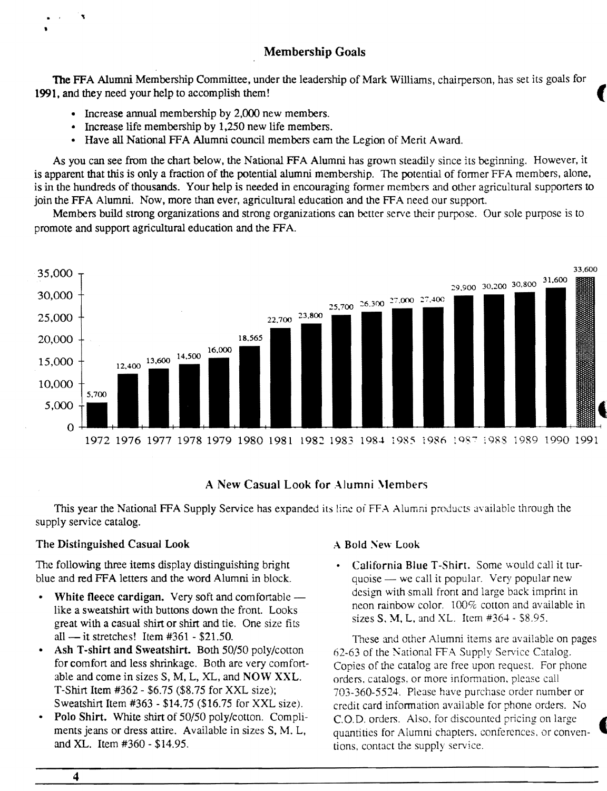# Membership Goals

The FFA Alumni Membership Committee, under the leadership of Mark Williams, chairperson, has set its goals for **1991,** and they need your help to accomplish them! (

- Increase annual membership by 2,000 new members.
- Increase life membership by 1,250 new life members.
- Have all National FFA Alumni council members earn the Legion of Merit Award.

As you can see from the chart below, the National FFA Alumni has grown steadily since its beginning. However, it is apparent that this is only a fraction of the potential alumni membership. The potential of former FFA members, alone, is in the hundreds of thousands. Your help is needed in encouraging former members and other agricultural supporters to join the FFA Alumni. Now, more than ever, agricultural education and the FFA need our support.

Members build strong organizations and strong organizations can better serve their purpose. Our sole purpose is to promote and support agricultural education and the FF A.



#### A New Casual Look for Alumni \lembers

This year the National FFA Supply Service has expanded its line of FFA Alumni products available through the supply service catalog.

#### The Distinguished Casual Look

The following three items display distinguishing bright blue and red FFA letters and the word Alumni in block.

- White fleece cardigan. Very soft and comfortable like a sweatshirt with buttons down the front. Looks great with a casual shirt or shirt and tie. One size fits all — it stretches! Item  $#361 - $21.50$ .
- Ash T-shirt and Sweatshirt. Both 50/50 poly/cotton for comfort and less shrinkage. Both are very comfortable and come in sizes S, M, L, XL, and NOW XXL. T-Shirt Item #362 - \$6.75 (\$8.75 for XXL size); Sweatshirt Item #363 - \$14.75 (\$16.75 for XXL size).
- Polo Shirt. White shirt of 50/50 poly/cotton. Compliments jeans or dress attire. Available in sizes S, M. L, and XL. Item #360 - \$14.95.

#### A Bold New Look

• California Blue T-Shirt. Some would call it turquoise  $-$  we call it popular. Very popular new design with small front and large back imprint in neon rainbow color.  $100\%$  cotton and available in sizes S. M, L, and XL. Item #364 - \$8.95.

These and other Alumni items are available on pages 62-63 of the Kational FFA Supply Service Catalog. Copies of the catalog are free upon request. For phone orders. catalogs, or more infonnation, please call 703-360-5524. Please have purchase order number or credit card infonnation available for phone orders. No C.O.D. orders. Also, for discounted pricing on large quantities for Alumni chapters. conferences. or conven- • tions, contact the supply service.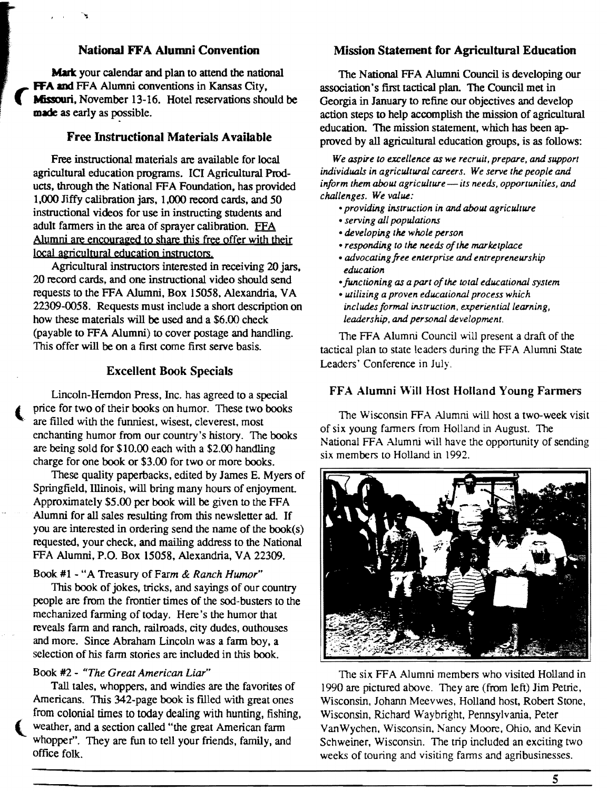## National FF A Alumni Convention

Mark your calendar and plan to attend the national FFA and FFA Alumni conventions in Kansas City, **Missouri**, November 13-16. Hotel reservations should be made as early as possible.

#### Free Instructional Materials Available

Free instructional materials are available for local agricultural education programs. ICI Agricultural Products, through the National FFA Foundation, has provided 1,000 Jiffy calibration jars. 1,000 record cards, and 50 instructional videos for use in instructing students and adult farmers in the area of sprayer calibration. FFA Alumni are encouraged to share this free offer with their local agricultural education instructors.

Agricultural instructors interested in receiving 20 jars. 20 record cards, and one instructional video should send requests to the FFA Alumni, Box 15058, Alexandria, VA 22309-0058. Requests must include a short description on how these materials will be used and a \$6.00 check (payable to FFA Alumni) to cover postage and handling. This offer will be on a first come first serve basis.

#### Excellent Book Specials

Lincoln-Herndon Press, Inc. has agreed to a special price for two of their books on humor. These two books are filled with the funniest, wisest, cleverest, most enchanting humor from our country's history. The books are being sold for \$10.00 each with a \$2.00 handling charge for one book or \$3.00 for two or more books.

These quality paperbacks, edited by James E. Myers of Springfield, Illinois, will bring many hours of enjoyment Approximately \$5.00 per book will be given to the FFA Alumni for all sales resulting from this newsletter ad. If you are interested in ordering send the name of the book(s) requested, your check, and mailing address to the National FFA Alumni, P.O. Box 15058, Alexandria, VA 22309.

#### Book #l - "A Treasury of Farm & *Ranch Hwnor"*

This book of jokes, tricks, and sayings of our country people are from the frontier times of the sod-busters to the mechanized farming of today. Here's the humor that reveals fann and ranch, railroads, city dudes, outhouses and more. Since Abraham Lincoln was a fann boy, a selection of his farm stories are included in this book.

#### Book #2 - *"The Great American Liar"*

Tall tales, whoppers, and windies are the favorites of Americans. This 342-page book is filled with great ones from colonial times to today dealing with hunting, fishing, weather, and a section called "the great American farm whopper". They are fun to tell your friends, family, and office folk.

#### Mission Statement for Agricultural Education

The National FFA Alumni Council is developing our association's first tactical plan. The Council met in Georgia in January to refine our objectives and develop action steps to help accomplish the mission of agricultural education. The mission statement, which has been approved by all agricultural education groups, is as follows:

*We aspire to excellence as we recruit, prepare, and support individuals in agricultural careers. We serve the people and*  inform them about agriculture-its needs, opportunities, and *challenges. We value:* 

- *•providing instruction in* and *about agriculture*
- serving all populations
- *developing the whole person*
- *•responding to the needs of the marketplace*
- *advocaJingfree enterprise and entrepreneurship education*
- *•functioning as a part of the total educational system*
- *utilizing a proven educational process which includes formal instruction, experiential learning, leadership, and personal development.*

The FFA Alumni Council will present a draft of the tactical plan to state leaders during the FFA Alumni State Leaders' Conference in July.

#### FFA Alumni \\'ill Host Holland Young Farmers

The Wisconsin FFA Alumni will host a two-week visit of six young fanners from Holland in August. The National FFA Alumni will have the opportunity of sending six members to Holland in 1992.



The six FFA Alumni members who visited Holland in 1990 are pictured above. They are (from left) Jim Petrie, Wisconsin, Johann Meevwes, Holland host, Robert Stone, Wisconsin, Richard Waybright, Pennsylvania, Peter VanWychen, Wisconsin, Nancy Moore, Ohio, and Kevin Schweiner, Wisconsin. The trip included an exciting two weeks of touring and visiting farms and agribusinesses.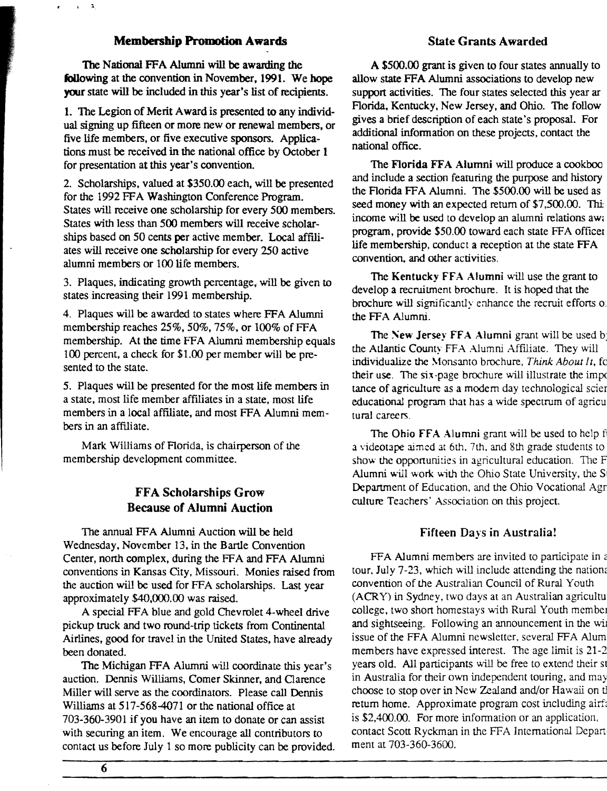#### **Membership Promotion Awards**

 $\mathbf{v}_k = \mathbf{x}$ 

The National FFA Alumni will be awarding the following at the convention in November, 1991. We hope your state will be included in this year's list of recipients.

1. The Legion of Merit Award is presented to any individual signing up fifteen or more new or renewal members, or five life members, or five executive sponsors. Applications must be received in the national office by October 1 for presentation at this year's convention.

2. Scholarships, valued at \$350.00 each, will be presented for the 1992 FFA Washington Conference Program. States will receive one scholarship for every *500* members. States with less than *500* members will receive scholarships based on 50 cents per active member. Local affiliates will receive one scholarship for every 250 active alumni members or 100 life members.

3. Plaques, indicating growth percentage, will be given to states increasing their 1991 membership.

4. Plaques will be awarded to states where FFA Alumni membership reaches  $25\%$ ,  $50\%$ ,  $75\%$ , or  $100\%$  of FFA membership. At the time FFA Alumni membership equals 100 percent, a check for \$1.00 per member will be presented to the state.

*5.* Plaques will be presented for the most life members in a state, most life member affiliates in a state, most life members in a local affiliate, and most FFA Alumni members in an affiliate.

Mark Williams of Florida, is chairperson of the membership development committee.

### FFA Scholarships Grow Because of Alumni Auction

The annual FFA Alumni Auction will be held Wednesday, November 13, in the Bartle Convention Center, north complex, during the FFA and FFA Alumni conventions in Kansas City, Missouri. Monies raised from the auction will be used for FFA scholarships. Last year approximately \$40,000.00 was raised.

A special FFA blue and gold Chevrolet 4-wheel drive pickup truck and two round-trip tickets from Continental Airlines, good for travel in the United States, have already been donated.

The Michigan FFA Alumni will coordinate this year's auction. Dennis Williams, Comer Skinner, and Oarence Miller will serve as the coordinators. Please call Dennis Williams at 517-568-4071 or the national office at 703-360-3901 if you have an item to donate or can assist with securing an item. We encourage all contributors to contact us before July 1 so more publicity can be provided.

#### State Grants Awarded

A \$500.00 grant is given to four states annually to allow state FFA Alumni associations to develop new support activities. The four states selected this year ar Florida, Kentucky, New Jersey, and Ohio. The follow gives a brief description of each state's proposal. For additional information on these projects, contact the national office.

The Florida FFA Alumni will produce a cookboo and include a section featuring the purpose and history the Florida FFA Alumni. The \$500.00 will be used as seed money with an expected return of \$7,500.00. This income will be used to develop an alumni relations aw; program, provide \$50.00 toward each state FFA officer life membership, conduct a reception at the state FFA convention, and other activities.

The Kentucky FFA Alumni will use the grant to develop a recruitment brochure. It is hoped that the brochure will significantly enhance the recruit efforts of the FFA Alumni.

The New Jersey FFA Alumni grant will be used b: the Atlantic County FFA Alumni Affiliate. They will individualize the Monsanto brochure, *Think About It*, fo their use. The six-page brochure will illustrate the imp< tance of agriculture as a modem day technological scier educational program that has a wide spectrum of agricu tural careers.

The Ohio FFA Alumni grant will be used to help f a videotape aimed at 6th. 7th, and 8th grade students to show the opportunities in agricultural education. The F Alumni will work with the Ohio State University, the S Deparunem of Education, and the Ohio Vocational Agr culture Teachers· Association on this project.

#### Fifteen Days in Australia!

FFA Alumni members are invited to participate in a tour, July 7-23, which will include attending the nations convention of the Australian Council of Rural Youth (ACRY) in Sydney, two days at an Australian agricultu college, two short homestays with Rural Youth member and sightseeing. Following an announcement in the wi issue of the FFA Alumni newsletter, several FFA Alum members have expressed interest. The age limit is 21-2 years old. All participants will be free to extend their st in Australia for their own independent touring, and may choose to stop over in New Zealand and/or Hawaii on tl return home. Approximate program cost including airfi is \$2,400.00. For more information or an application, contact Scott Ryckman in the FFA International Depart ment at 703-360-3600.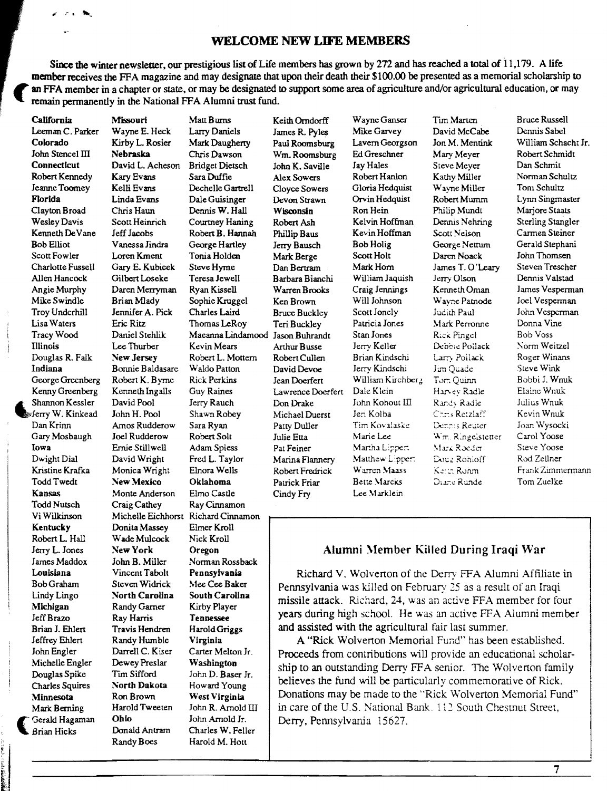#### **WELCOME NEW LIFE MEMBERS**

Since the winter newsletter, our prestigious list of Life members has grown by 272 and has reached a total of 11,179. A life member receives the FFA magazine and may designate that upon their death their \$100.00 be presented as a memorial scholarship to an FFA member in a chapter or state, or may be designated to support some area of agriculture and/or agricultural education, or may remain permanently in the National FFA Alumni trust fund.

t i

 $\mathbb{R}$ 

 $-1$ 

Leeman C. Parlcer WayneE. Heck Larry Daniels James R. Pyles Mike Garvey David McCabe Dennis Sabel Colorado Kirby L. Rosier Mark Daugherty Paul Roomsburg Lavern Georgson Jon M. Mentink William Schacht Jr. John Stencel III Nebraska Chris Dawson Wm. Roomsburg Ed Greschner Mary Meyer Robert Schmidt Connecticut David L. Acheson Bridget Dietsch John K. Saville Jay Hales Steve Meyer Dan Schmit Robert Kennedy Kary Evans Sara Duffie Alex Sowers Robert Hanlon Kathy Miller Norman Schultz Jeanne Toomey Kelli Evans Dechelle Gartrell Cloyce Sowers Gloria Hedquist Wayne Miller Tom Schultz Florida Linda Evans Dale Guisinger Devon Strawn Orvin Hedquist RobertMwnm Lynn Singmaster Clayton Broad Chris Haun Dennis W. Hall Wisconsin Ron Hein Philip Mundt Marjore Staats Wesley Davis Scott Heinrich Courtney Haning Robert Ash Kelvin Hoffman Dennis Nehring Sterling Stangler Kenneth De Vane Jeff Jacobs Robert B. Hannah Phillip Baus Kevin Hoffman Scott Nelson Carmen Steiner Bob Elliot Vanessa Jindra George Hartley Jerry Bausch BobHolig GeorgeNettwn Gerald Stephani Scott Fowler Loren Kment Tonia Holden Mark Berge Scott Holt Daren Noack John Thomsen Charlotte Fussell Gary E. Kubicek Steve Hyme Dan Bertram Mark Horn James T. O'Leary Steven Trescher<br>Allen Hancock Gilbert Loseke Teresa Jewell Barbara Bianchi William Jaquish Jerry Olson Dennis Valstad Allen Hancock Gilbert Loseke Teresa Jewell Barbara Bianchi William Jaquish Jerry Olson Dennis V alstad Angie Murphy Daren Merryman Ryan Kissell Warren Brooks Craig Jennings Kenneth Oman James Vesperman Mike Swindle BrianMlady Sophie Kruggel Ken Brown Will Johnson Wayne Patnode Joel Vesperman Troy Underhill Jennifer A. Pick Charles Laird Bruce Buckley Scott lonely Judith Paul John Vesperman Lisa Waters Eric Ritz Thomas LeRoy Teri Buckley Patricia Jones Mark Perroruie Donna Vine Tracy Wood Daniel Stehlik Maeanna Lindamood Jason Buhrandt Stan Jones R~c;. Pingel Bob Voss Illinois Lee Thurber Kevin Mears Arthur Busse Jerry Keller Debbie Po:Jack '.\onn Weitzel Douglas R. Falk New Jersey Robert L. Mottern Robert Cullen Brian Kindschi La.'"7) Poilack Roger Winans Indiana Bonnie Baldasare Waldo Patton David Devoe Jerry Kindschi Jim Quade Steve Wink<br>George Greenberg Robert K. Byrne Rick Perkins Jean Doerfert William Kirchberg Tom Quinn Bobbi J. Wnuk George Greenberg Robert K. Byrne Rick Perkins Jean Doerfert William Kirchberg Tom Quinn Bobbi J. Wnu<br>Kenny Greenberg Kenneth Ingalls Guy Raines I awrence Doerfert Dale Klein Harvey Radle Elaine Wnuk **Kenny Greenberg Kenneth Ingalls Guy Raines Lawrence Doerfert Dale Klein Harvey Radle Elaine Wnuk Shannon Kessler David Pool Jerry Rauch Don Drake John Kohout II Randy Radle Julius Wnuk** ~Shannon Kessler David Pool Jerry Rauch Don Drake John Kohout III *Rir.C.:* R:idle Julius Wnuk Jerry W. Kinkead John H. Pool Shawn Robey Michael Duerst Jeri Kolba C::-:s Re:zlaff Kevin Wnuk DanKrinn Amos Rudderow Sara Ryan Patty Duller Tim Kov;ilasi;e IX:-... -::s Rc:;..t~cr Joan Wysocki Gary Mosbaugh Joel Rudderow Robert Solt Julie Etta Marie Lee v,;rr. R~nge;st.:ner Carol Yoose Iowa Ernie Stillwell Adam Spiess Pat Feiner Mar.ha L:;;pe~ '.fa.:..: R0dcr Steve Yoose Dwight Dial David Wright Fred L. Taylor Marina Flannery Matthew Lipper: Doug Rohloff Rod Zellner<br>Kristine Krafka Monica Wright Elnora Wells Robert Fredrick Warren Maass Kenn Rohm Frank Zimmermann **Kristine Krafka Monica Wright Elnora Wells - Robert Fredrick Warren Maass - Kerin Rohm - Frank Zimmermann** Todd Twedt New Mexico Oklahoma Patrick Friar Bette \1arcK.s ;)LL--:;; R;;.:idt: Tom Zuelke Kansas Monte Anderson Elmo Castle Cindy Fry Lee Marklein<br>Todd Nutsch Craig Cathev Ray Cinnamon Craig Cathey Ray Cinnamon Vi Wilkinson Michelle Eichhorst Richard Cinnamon Kentucky Donita Massey Elmer Kroll Robert L. Hall Wade Mulcock Nick Kroll<br>Jerry L. Jones New York Oregon Donald Antram Charles W. Feller<br>Randy Boes Harold M. Hott Harold M. Hott

Norman Rossback

**California Missouri Matt Burns Keith Orndorff Wayne Ganser Tim Marten Bruce Russell** 

# Jerry L. Jones : New York Oregon ... Alumni Member Killed During Iraqi War James Maddox ... John B. Miller : Norman Rossback

Louisiana Vincent Tabolt Pennsylvania Richard V. Wolverton of the Derry FFA Alumni Affiliate in<br>Bob Graham Steven Widrick Mee Cee Baker Dennsylvania was killed on February 25 as a result of an Iraqi Bob Graham Steven Widnek Mee Cee Baker<br>
Lindy Lingo North Carolina South Carolina <br>
Michigan Randy Garner Kirby Player missile attack. Richard, 24, was an active FFA member for four Jeff Brazo Ray Harris Tennessee Jeff Brazo Ray Harris Tennessee Prime of the State of Marris Tennessee Prime of Marris Tennessee and assisted with the agricultural fair last summer. Brian J. Ehlert Travis Hendren Harold Griggs and assisted with the agricultural fair last summer.

Jeffrey Ehlert Randy Humble Virginia A "Rick Wolvenon Memorial Fund" has been established. John Engler Darrell C. Kiser Carter Melton Jr. Proceeds from contributions will provide an educational scholar-<br>Michelle Engler Dewey Preslar Washington chin to an outstanding Darry ERA against The Welton family Nichelle Engler Dewey Pressar Washington<br>Douglas Spike Tim Sifford John D. Baser Jr.<br>Charles Squires North Dakota Howard Young believes the fund will be particularly commemorative of Rick. Minnesota Ron Brown West Virginia Donations may be made to the "Rick Wolverton Memorial Fund"<br>Mark Berning Harold Tweeten John R. Arnold III in care of the U.S. National Bank. 112 South Chestnut Street. Mark Berning Harold Tweeten John R. Arnold III in care of the U.S. National Bank. 112 South Chestnut Street,<br>Gerald Hagaman Ohio John Arnold Jr. Derry Pennsylvania 15627 Gerald Hagaman Ohio John Arnold Jr. Derry, Pennsylvania 15627.<br>Brian Hicks Donald Antram Charles W. Feller